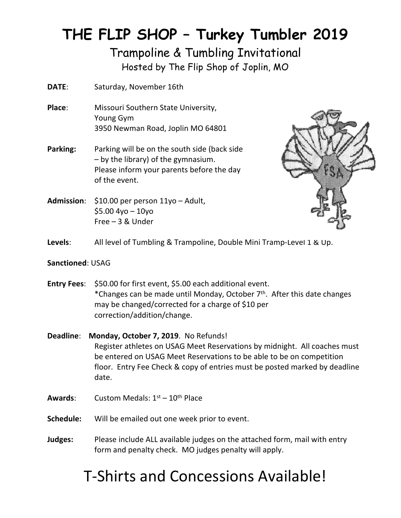## **THE FLIP SHOP – Turkey Tumbler 2019**

### Trampoline & Tumbling Invitational Hosted by The Flip Shop of Joplin, MO

- **DATE**: Saturday, November 16th
- **Place**: Missouri Southern State University, Young Gym 3950 Newman Road, Joplin MO 64801
- **Parking:** Parking will be on the south side (back side – by the library) of the gymnasium. Please inform your parents before the day of the event.
- **Admission**: \$10.00 per person 11yo Adult,  $$5.004$ yo – 10yo Free – 3 & Under



**Levels**: All level of Tumbling & Trampoline, Double Mini Tramp-Level 1 & Up.

#### **Sanctioned**: USAG

- **Entry Fees**: \$50.00 for first event, \$5.00 each additional event. \*Changes can be made until Monday, October 7th. After this date changes may be changed/corrected for a charge of \$10 per correction/addition/change.
- **Deadline**: **Monday, October 7, 2019**. No Refunds! Register athletes on USAG Meet Reservations by midnight. All coaches must be entered on USAG Meet Reservations to be able to be on competition floor. Entry Fee Check & copy of entries must be posted marked by deadline date.
- **Awards:** Custom Medals: 1<sup>st</sup> 10<sup>th</sup> Place
- **Schedule:** Will be emailed out one week prior to event.
- **Judges:** Please include ALL available judges on the attached form, mail with entry form and penalty check. MO judges penalty will apply.

# T-Shirts and Concessions Available!